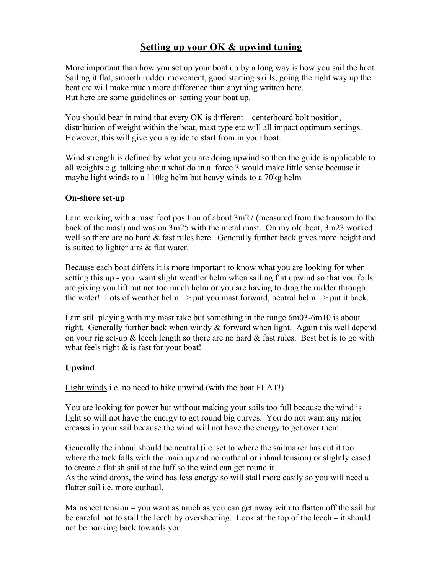# Setting up your OK & upwind tuning

More important than how you set up your boat up by a long way is how you sail the boat. Sailing it flat, smooth rudder movement, good starting skills, going the right way up the beat etc will make much more difference than anything written here. But here are some guidelines on setting your boat up.

You should bear in mind that every OK is different – centerboard bolt position, distribution of weight within the boat, mast type etc will all impact optimum settings. However, this will give you a guide to start from in your boat.

Wind strength is defined by what you are doing upwind so then the guide is applicable to all weights e.g. talking about what do in a force 3 would make little sense because it maybe light winds to a 110kg helm but heavy winds to a 70kg helm

## On-shore set-up

I am working with a mast foot position of about 3m27 (measured from the transom to the back of the mast) and was on 3m25 with the metal mast. On my old boat, 3m23 worked well so there are no hard  $\&$  fast rules here. Generally further back gives more height and is suited to lighter airs & flat water.

Because each boat differs it is more important to know what you are looking for when setting this up - you want slight weather helm when sailing flat upwind so that you foils are giving you lift but not too much helm or you are having to drag the rudder through the water! Lots of weather helm  $\Rightarrow$  put you mast forward, neutral helm  $\Rightarrow$  put it back.

I am still playing with my mast rake but something in the range 6m03-6m10 is about right. Generally further back when windy  $\&$  forward when light. Again this well depend on your rig set-up  $\&$  leech length so there are no hard  $\&$  fast rules. Best bet is to go with what feels right  $\&$  is fast for your boat!

## Upwind

Light winds i.e. no need to hike upwind (with the boat FLAT!)

You are looking for power but without making your sails too full because the wind is light so will not have the energy to get round big curves. You do not want any major creases in your sail because the wind will not have the energy to get over them.

Generally the inhaul should be neutral (i.e. set to where the sailmaker has cut it too  $$ where the tack falls with the main up and no outhaul or inhaul tension) or slightly eased to create a flatish sail at the luff so the wind can get round it.

As the wind drops, the wind has less energy so will stall more easily so you will need a flatter sail i.e. more outhaul.

Mainsheet tension – you want as much as you can get away with to flatten off the sail but be careful not to stall the leech by oversheeting. Look at the top of the leech – it should not be hooking back towards you.